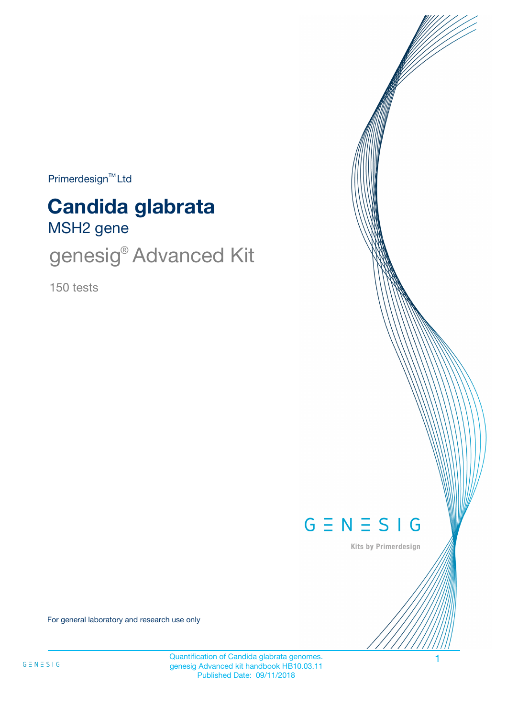$Primerdesign<sup>™</sup>Ltd$ 

# MSH2 gene **Candida glabrata**

genesig<sup>®</sup> Advanced Kit

150 tests



Kits by Primerdesign

For general laboratory and research use only

Quantification of Candida glabrata genomes. genesig Advanced kit handbook HB10.03.11 Published Date: 09/11/2018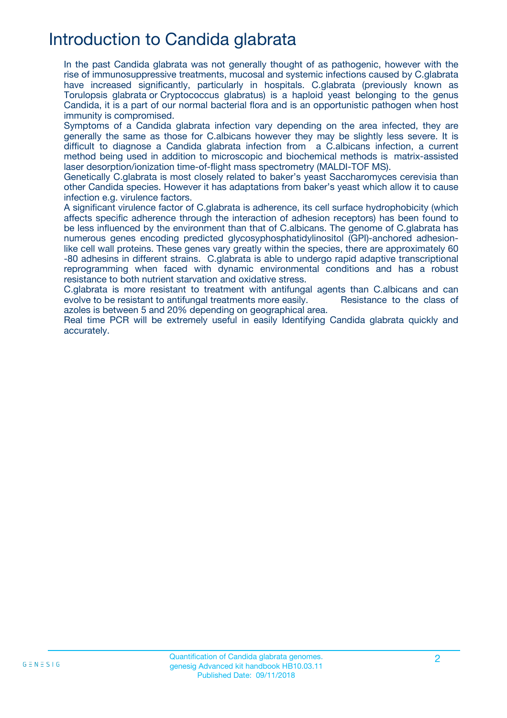## Introduction to Candida glabrata

In the past Candida glabrata was not generally thought of as pathogenic, however with the rise of immunosuppressive treatments, mucosal and systemic infections caused by C.glabrata have increased significantly, particularly in hospitals. C.glabrata (previously known as Torulopsis glabrata or Cryptococcus glabratus) is a haploid yeast belonging to the genus Candida, it is a part of our normal bacterial flora and is an opportunistic pathogen when host immunity is compromised.

Symptoms of a Candida glabrata infection vary depending on the area infected, they are generally the same as those for C.albicans however they may be slightly less severe. It is difficult to diagnose a Candida glabrata infection from a C.albicans infection, a current method being used in addition to microscopic and biochemical methods is matrix-assisted laser desorption/ionization time-of-flight mass spectrometry (MALDI-TOF MS).

Genetically C.glabrata is most closely related to baker's yeast Saccharomyces cerevisia than other Candida species. However it has adaptations from baker's yeast which allow it to cause infection e.g. virulence factors.

A significant virulence factor of C.glabrata is adherence, its cell surface hydrophobicity (which affects specific adherence through the interaction of adhesion receptors) has been found to be less influenced by the environment than that of C.albicans. The genome of C.glabrata has numerous genes encoding predicted glycosyphosphatidylinositol (GPI)-anchored adhesionlike cell wall proteins. These genes vary greatly within the species, there are approximately 60 -80 adhesins in different strains. C.glabrata is able to undergo rapid adaptive transcriptional reprogramming when faced with dynamic environmental conditions and has a robust resistance to both nutrient starvation and oxidative stress.

C.glabrata is more resistant to treatment with antifungal agents than C.albicans and can evolve to be resistant to antifungal treatments more easily. Resistance to the class of azoles is between 5 and 20% depending on geographical area.

Real time PCR will be extremely useful in easily Identifying Candida glabrata quickly and accurately.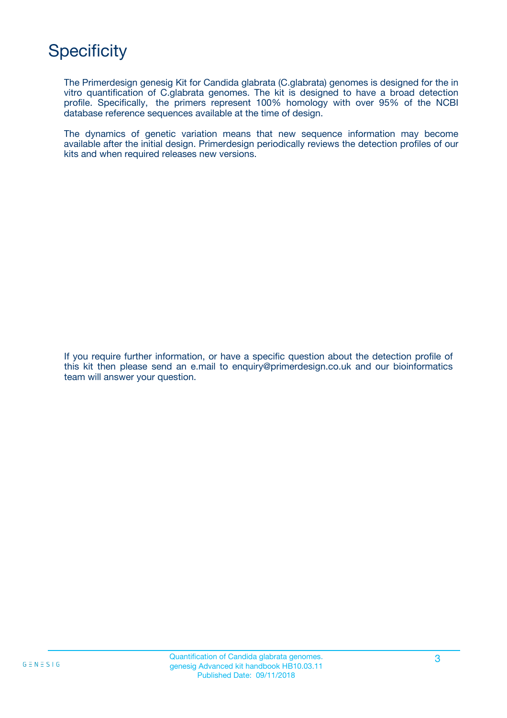# **Specificity**

The Primerdesign genesig Kit for Candida glabrata (C.glabrata) genomes is designed for the in vitro quantification of C.glabrata genomes. The kit is designed to have a broad detection profile. Specifically, the primers represent 100% homology with over 95% of the NCBI database reference sequences available at the time of design.

The dynamics of genetic variation means that new sequence information may become available after the initial design. Primerdesign periodically reviews the detection profiles of our kits and when required releases new versions.

If you require further information, or have a specific question about the detection profile of this kit then please send an e.mail to enquiry@primerdesign.co.uk and our bioinformatics team will answer your question.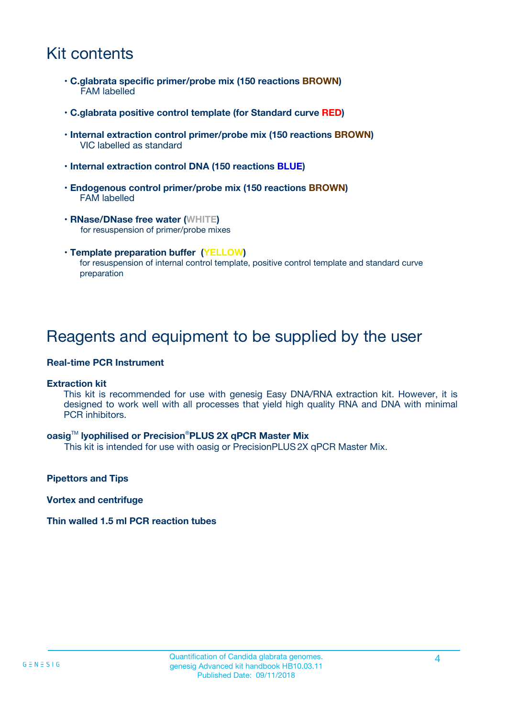## Kit contents

- **C.glabrata specific primer/probe mix (150 reactions BROWN)** FAM labelled
- **C.glabrata positive control template (for Standard curve RED)**
- **Internal extraction control primer/probe mix (150 reactions BROWN)** VIC labelled as standard
- **Internal extraction control DNA (150 reactions BLUE)**
- **Endogenous control primer/probe mix (150 reactions BROWN)** FAM labelled
- **RNase/DNase free water (WHITE)** for resuspension of primer/probe mixes
- **Template preparation buffer (YELLOW)** for resuspension of internal control template, positive control template and standard curve preparation

### Reagents and equipment to be supplied by the user

#### **Real-time PCR Instrument**

#### **Extraction kit**

This kit is recommended for use with genesig Easy DNA/RNA extraction kit. However, it is designed to work well with all processes that yield high quality RNA and DNA with minimal PCR inhibitors.

#### **oasig**TM **lyophilised or Precision**®**PLUS 2X qPCR Master Mix**

This kit is intended for use with oasig or PrecisionPLUS2X qPCR Master Mix.

**Pipettors and Tips**

**Vortex and centrifuge**

#### **Thin walled 1.5 ml PCR reaction tubes**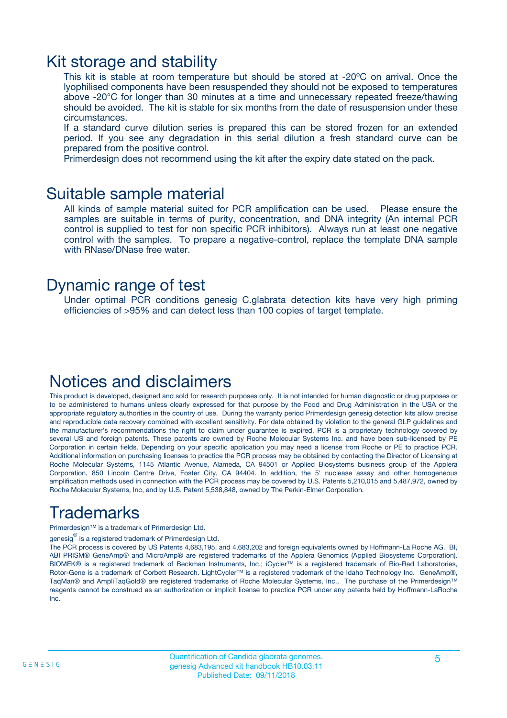### Kit storage and stability

This kit is stable at room temperature but should be stored at -20ºC on arrival. Once the lyophilised components have been resuspended they should not be exposed to temperatures above -20°C for longer than 30 minutes at a time and unnecessary repeated freeze/thawing should be avoided. The kit is stable for six months from the date of resuspension under these circumstances.

If a standard curve dilution series is prepared this can be stored frozen for an extended period. If you see any degradation in this serial dilution a fresh standard curve can be prepared from the positive control.

Primerdesign does not recommend using the kit after the expiry date stated on the pack.

### Suitable sample material

All kinds of sample material suited for PCR amplification can be used. Please ensure the samples are suitable in terms of purity, concentration, and DNA integrity (An internal PCR control is supplied to test for non specific PCR inhibitors). Always run at least one negative control with the samples. To prepare a negative-control, replace the template DNA sample with RNase/DNase free water.

### Dynamic range of test

Under optimal PCR conditions genesig C.glabrata detection kits have very high priming efficiencies of >95% and can detect less than 100 copies of target template.

### Notices and disclaimers

This product is developed, designed and sold for research purposes only. It is not intended for human diagnostic or drug purposes or to be administered to humans unless clearly expressed for that purpose by the Food and Drug Administration in the USA or the appropriate regulatory authorities in the country of use. During the warranty period Primerdesign genesig detection kits allow precise and reproducible data recovery combined with excellent sensitivity. For data obtained by violation to the general GLP guidelines and the manufacturer's recommendations the right to claim under guarantee is expired. PCR is a proprietary technology covered by several US and foreign patents. These patents are owned by Roche Molecular Systems Inc. and have been sub-licensed by PE Corporation in certain fields. Depending on your specific application you may need a license from Roche or PE to practice PCR. Additional information on purchasing licenses to practice the PCR process may be obtained by contacting the Director of Licensing at Roche Molecular Systems, 1145 Atlantic Avenue, Alameda, CA 94501 or Applied Biosystems business group of the Applera Corporation, 850 Lincoln Centre Drive, Foster City, CA 94404. In addition, the 5' nuclease assay and other homogeneous amplification methods used in connection with the PCR process may be covered by U.S. Patents 5,210,015 and 5,487,972, owned by Roche Molecular Systems, Inc, and by U.S. Patent 5,538,848, owned by The Perkin-Elmer Corporation.

## Trademarks

Primerdesign™ is a trademark of Primerdesign Ltd.

genesig $^\circledR$  is a registered trademark of Primerdesign Ltd.

The PCR process is covered by US Patents 4,683,195, and 4,683,202 and foreign equivalents owned by Hoffmann-La Roche AG. BI, ABI PRISM® GeneAmp® and MicroAmp® are registered trademarks of the Applera Genomics (Applied Biosystems Corporation). BIOMEK® is a registered trademark of Beckman Instruments, Inc.; iCycler™ is a registered trademark of Bio-Rad Laboratories, Rotor-Gene is a trademark of Corbett Research. LightCycler™ is a registered trademark of the Idaho Technology Inc. GeneAmp®, TaqMan® and AmpliTaqGold® are registered trademarks of Roche Molecular Systems, Inc., The purchase of the Primerdesign™ reagents cannot be construed as an authorization or implicit license to practice PCR under any patents held by Hoffmann-LaRoche Inc.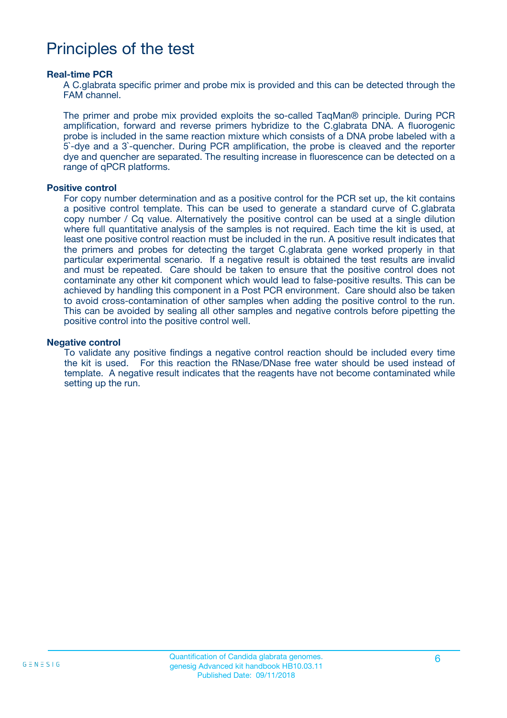### Principles of the test

#### **Real-time PCR**

A C.glabrata specific primer and probe mix is provided and this can be detected through the FAM channel.

The primer and probe mix provided exploits the so-called TaqMan® principle. During PCR amplification, forward and reverse primers hybridize to the C.glabrata DNA. A fluorogenic probe is included in the same reaction mixture which consists of a DNA probe labeled with a 5`-dye and a 3`-quencher. During PCR amplification, the probe is cleaved and the reporter dye and quencher are separated. The resulting increase in fluorescence can be detected on a range of qPCR platforms.

#### **Positive control**

For copy number determination and as a positive control for the PCR set up, the kit contains a positive control template. This can be used to generate a standard curve of C.glabrata copy number / Cq value. Alternatively the positive control can be used at a single dilution where full quantitative analysis of the samples is not required. Each time the kit is used, at least one positive control reaction must be included in the run. A positive result indicates that the primers and probes for detecting the target C.glabrata gene worked properly in that particular experimental scenario. If a negative result is obtained the test results are invalid and must be repeated. Care should be taken to ensure that the positive control does not contaminate any other kit component which would lead to false-positive results. This can be achieved by handling this component in a Post PCR environment. Care should also be taken to avoid cross-contamination of other samples when adding the positive control to the run. This can be avoided by sealing all other samples and negative controls before pipetting the positive control into the positive control well.

#### **Negative control**

To validate any positive findings a negative control reaction should be included every time the kit is used. For this reaction the RNase/DNase free water should be used instead of template. A negative result indicates that the reagents have not become contaminated while setting up the run.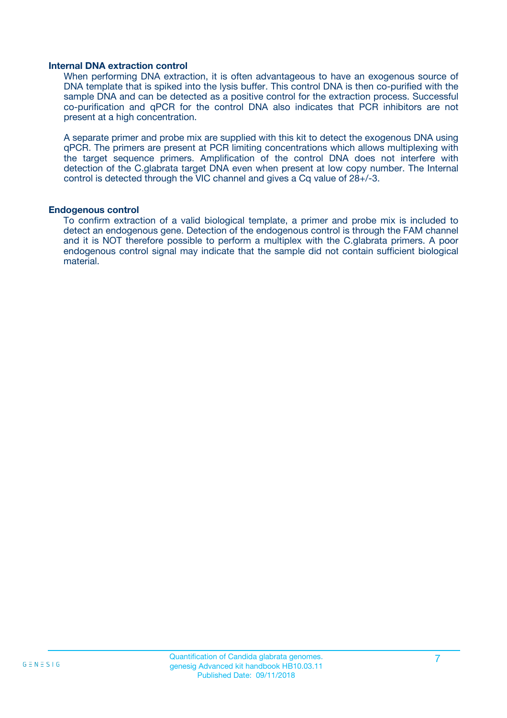#### **Internal DNA extraction control**

When performing DNA extraction, it is often advantageous to have an exogenous source of DNA template that is spiked into the lysis buffer. This control DNA is then co-purified with the sample DNA and can be detected as a positive control for the extraction process. Successful co-purification and qPCR for the control DNA also indicates that PCR inhibitors are not present at a high concentration.

A separate primer and probe mix are supplied with this kit to detect the exogenous DNA using qPCR. The primers are present at PCR limiting concentrations which allows multiplexing with the target sequence primers. Amplification of the control DNA does not interfere with detection of the C.glabrata target DNA even when present at low copy number. The Internal control is detected through the VIC channel and gives a Cq value of 28+/-3.

#### **Endogenous control**

To confirm extraction of a valid biological template, a primer and probe mix is included to detect an endogenous gene. Detection of the endogenous control is through the FAM channel and it is NOT therefore possible to perform a multiplex with the C.glabrata primers. A poor endogenous control signal may indicate that the sample did not contain sufficient biological material.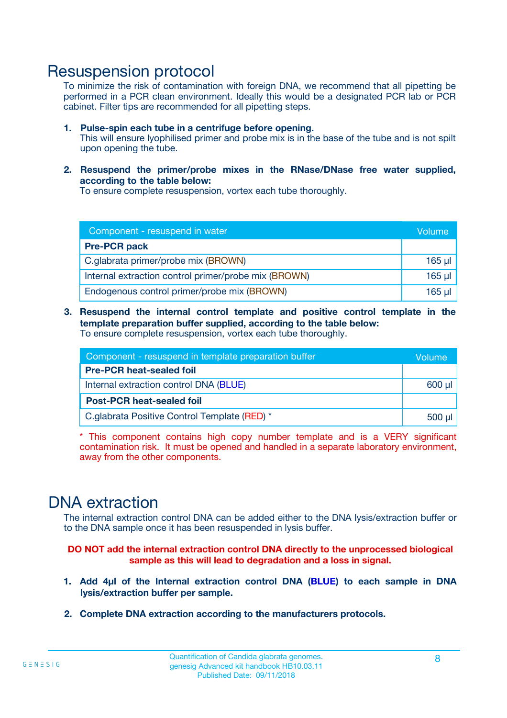### Resuspension protocol

To minimize the risk of contamination with foreign DNA, we recommend that all pipetting be performed in a PCR clean environment. Ideally this would be a designated PCR lab or PCR cabinet. Filter tips are recommended for all pipetting steps.

- **1. Pulse-spin each tube in a centrifuge before opening.** This will ensure lyophilised primer and probe mix is in the base of the tube and is not spilt upon opening the tube.
- **2. Resuspend the primer/probe mixes in the RNase/DNase free water supplied, according to the table below:**

To ensure complete resuspension, vortex each tube thoroughly.

| Component - resuspend in water                       |          |  |
|------------------------------------------------------|----------|--|
| <b>Pre-PCR pack</b>                                  |          |  |
| C.glabrata primer/probe mix (BROWN)                  | $165$ µl |  |
| Internal extraction control primer/probe mix (BROWN) | $165$ µl |  |
| Endogenous control primer/probe mix (BROWN)          | 165 µl   |  |

**3. Resuspend the internal control template and positive control template in the template preparation buffer supplied, according to the table below:** To ensure complete resuspension, vortex each tube thoroughly.

| Component - resuspend in template preparation buffer |  |  |  |
|------------------------------------------------------|--|--|--|
| <b>Pre-PCR heat-sealed foil</b>                      |  |  |  |
| Internal extraction control DNA (BLUE)               |  |  |  |
| <b>Post-PCR heat-sealed foil</b>                     |  |  |  |
| C.glabrata Positive Control Template (RED) *         |  |  |  |

\* This component contains high copy number template and is a VERY significant contamination risk. It must be opened and handled in a separate laboratory environment, away from the other components.

### DNA extraction

The internal extraction control DNA can be added either to the DNA lysis/extraction buffer or to the DNA sample once it has been resuspended in lysis buffer.

**DO NOT add the internal extraction control DNA directly to the unprocessed biological sample as this will lead to degradation and a loss in signal.**

- **1. Add 4µl of the Internal extraction control DNA (BLUE) to each sample in DNA lysis/extraction buffer per sample.**
- **2. Complete DNA extraction according to the manufacturers protocols.**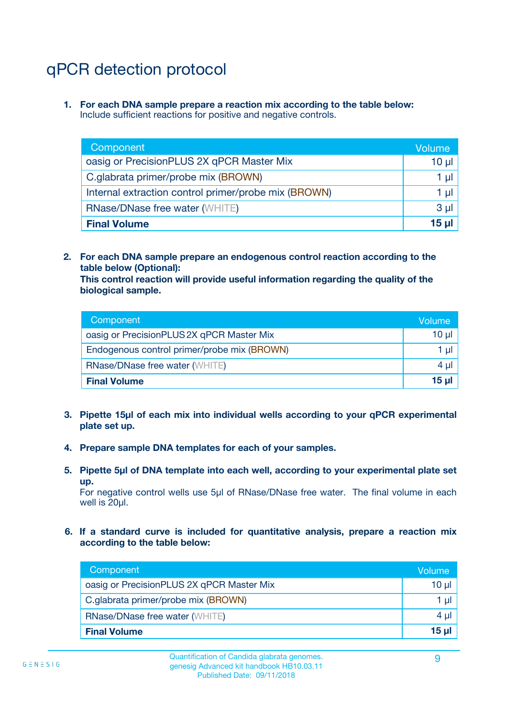# qPCR detection protocol

**1. For each DNA sample prepare a reaction mix according to the table below:** Include sufficient reactions for positive and negative controls.

| Component                                            | Volume   |
|------------------------------------------------------|----------|
| oasig or PrecisionPLUS 2X qPCR Master Mix            | 10 $\mu$ |
| C.glabrata primer/probe mix (BROWN)                  | 1 µl     |
| Internal extraction control primer/probe mix (BROWN) | 1 µl     |
| <b>RNase/DNase free water (WHITE)</b>                | $3 \mu$  |
| <b>Final Volume</b>                                  | 15 µl    |

**2. For each DNA sample prepare an endogenous control reaction according to the table below (Optional):**

**This control reaction will provide useful information regarding the quality of the biological sample.**

| Component                                   | Volume          |
|---------------------------------------------|-----------------|
| oasig or PrecisionPLUS 2X qPCR Master Mix   | 10 <sub>µ</sub> |
| Endogenous control primer/probe mix (BROWN) | 1 µI            |
| <b>RNase/DNase free water (WHITE)</b>       | $4 \mu$         |
| <b>Final Volume</b>                         | 15 µl           |

- **3. Pipette 15µl of each mix into individual wells according to your qPCR experimental plate set up.**
- **4. Prepare sample DNA templates for each of your samples.**
- **5. Pipette 5µl of DNA template into each well, according to your experimental plate set up.**

For negative control wells use 5µl of RNase/DNase free water. The final volume in each well is 20ul.

**6. If a standard curve is included for quantitative analysis, prepare a reaction mix according to the table below:**

| Component                                 | Volume     |
|-------------------------------------------|------------|
| oasig or PrecisionPLUS 2X qPCR Master Mix | $10 \mu$   |
| C.glabrata primer/probe mix (BROWN)       | 1 µI I     |
| <b>RNase/DNase free water (WHITE)</b>     | $4 \mu$    |
| <b>Final Volume</b>                       | $15$ $\mu$ |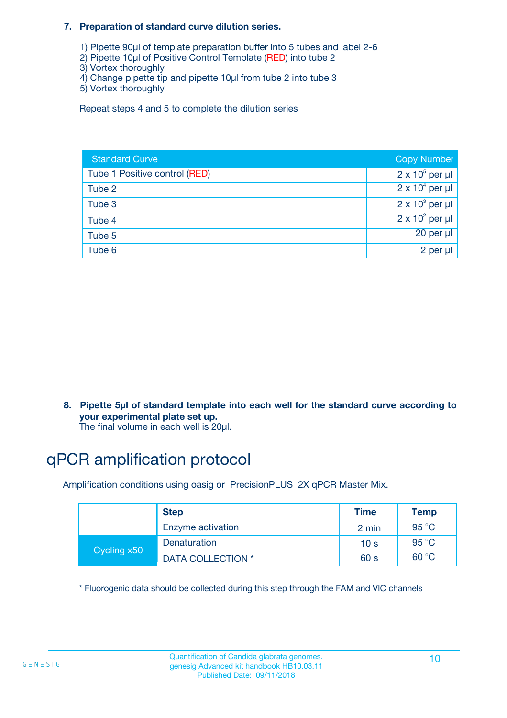#### **7. Preparation of standard curve dilution series.**

- 1) Pipette 90µl of template preparation buffer into 5 tubes and label 2-6
- 2) Pipette 10µl of Positive Control Template (RED) into tube 2
- 3) Vortex thoroughly
- 4) Change pipette tip and pipette 10µl from tube 2 into tube 3
- 5) Vortex thoroughly

Repeat steps 4 and 5 to complete the dilution series

| <b>Standard Curve</b>         | <b>Copy Number</b>     |
|-------------------------------|------------------------|
| Tube 1 Positive control (RED) | $2 \times 10^5$ per µl |
| Tube 2                        | $2 \times 10^4$ per µl |
| Tube 3                        | $2 \times 10^3$ per µl |
| Tube 4                        | $2 \times 10^2$ per µl |
| Tube 5                        | 20 per µl              |
| Tube 6                        | 2 per µl               |

**8. Pipette 5µl of standard template into each well for the standard curve according to your experimental plate set up.**

#### The final volume in each well is 20µl.

## qPCR amplification protocol

Amplification conditions using oasig or PrecisionPLUS 2X qPCR Master Mix.

|             | <b>Step</b>       | <b>Time</b>     | Temp    |
|-------------|-------------------|-----------------|---------|
|             | Enzyme activation | 2 min           | 95 °C   |
| Cycling x50 | Denaturation      | 10 <sub>s</sub> | 95 $°C$ |
|             | DATA COLLECTION * | 60 s            | 60 °C   |

\* Fluorogenic data should be collected during this step through the FAM and VIC channels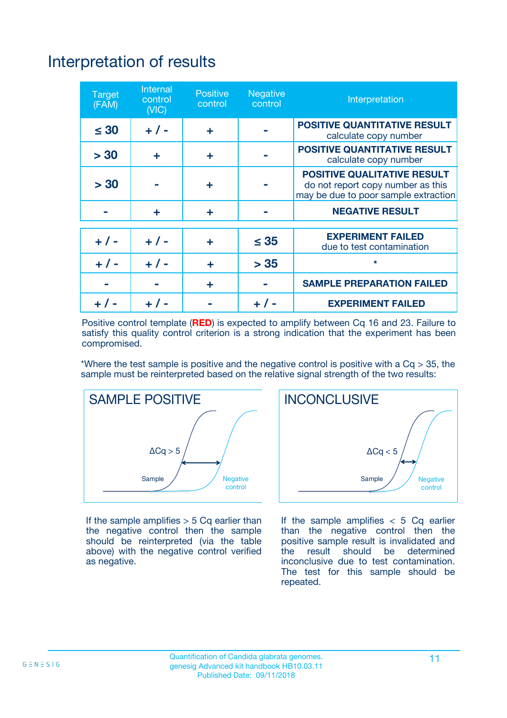# Interpretation of results

| <b>Target</b><br>(FAM) | Internal<br>control<br>(NIC) | <b>Positive</b><br>control | Negative<br>control | Interpretation                                                                                                  |
|------------------------|------------------------------|----------------------------|---------------------|-----------------------------------------------------------------------------------------------------------------|
| $\leq 30$              | $+ 1 -$                      | ÷                          |                     | <b>POSITIVE QUANTITATIVE RESULT</b><br>calculate copy number                                                    |
| > 30                   | ÷                            | ÷                          |                     | <b>POSITIVE QUANTITATIVE RESULT</b><br>calculate copy number                                                    |
| > 30                   |                              | ÷                          |                     | <b>POSITIVE QUALITATIVE RESULT</b><br>do not report copy number as this<br>may be due to poor sample extraction |
|                        | ÷                            | ÷                          |                     | <b>NEGATIVE RESULT</b>                                                                                          |
|                        |                              |                            |                     | <b>EXPERIMENT FAILED</b>                                                                                        |
| $+ 1 -$                | $+ 1 -$                      | ÷                          | $\leq 35$           | due to test contamination                                                                                       |
| $+ 1 -$                | $+ 1 -$                      | ÷                          | > 35                | $\star$                                                                                                         |
|                        |                              | ÷                          |                     | <b>SAMPLE PREPARATION FAILED</b>                                                                                |
|                        |                              |                            |                     | <b>EXPERIMENT FAILED</b>                                                                                        |

Positive control template (**RED**) is expected to amplify between Cq 16 and 23. Failure to satisfy this quality control criterion is a strong indication that the experiment has been compromised.

\*Where the test sample is positive and the negative control is positive with a  $Ca > 35$ , the sample must be reinterpreted based on the relative signal strength of the two results:



If the sample amplifies  $> 5$  Cq earlier than the negative control then the sample should be reinterpreted (via the table above) with the negative control verified as negative.



If the sample amplifies  $< 5$  Cq earlier than the negative control then the positive sample result is invalidated and<br>the result should be determined  $the$  result should be inconclusive due to test contamination. The test for this sample should be repeated.